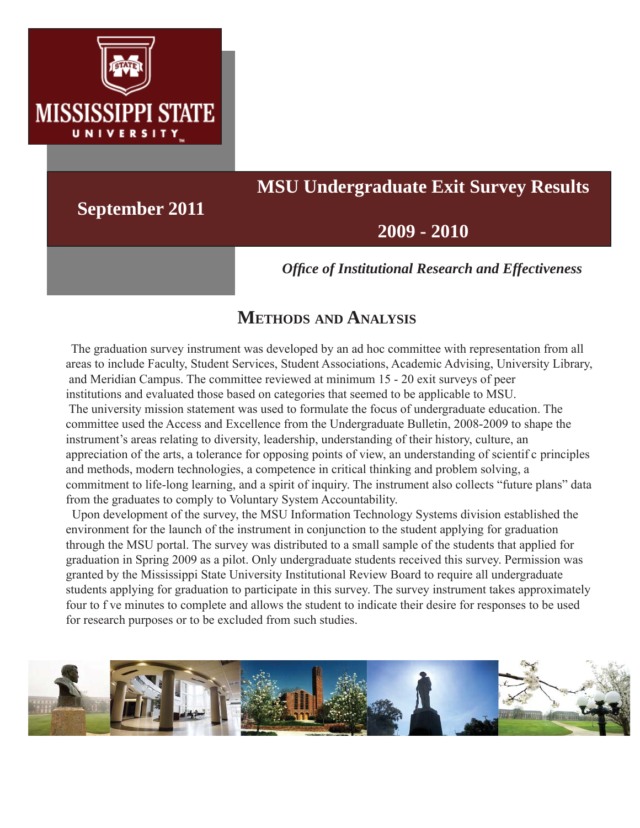

# **MSU Undergraduate Exit Survey Results**

**September 2011**

## **2009 - 2010**

*Offi ce of Institutional Research and Effectiveness*

## **METHODS AND ANALYSIS**

 The graduation survey instrument was developed by an ad hoc committee with representation from all areas to include Faculty, Student Services, Student Associations, Academic Advising, University Library, and Meridian Campus. The committee reviewed at minimum 15 - 20 exit surveys of peer institutions and evaluated those based on categories that seemed to be applicable to MSU.

 The university mission statement was used to formulate the focus of undergraduate education. The committee used the Access and Excellence from the Undergraduate Bulletin, 2008-2009 to shape the instrument's areas relating to diversity, leadership, understanding of their history, culture, an appreciation of the arts, a tolerance for opposing points of view, an understanding of scientif c principles and methods, modern technologies, a competence in critical thinking and problem solving, a commitment to life-long learning, and a spirit of inquiry. The instrument also collects "future plans" data from the graduates to comply to Voluntary System Accountability.

 Upon development of the survey, the MSU Information Technology Systems division established the environment for the launch of the instrument in conjunction to the student applying for graduation through the MSU portal. The survey was distributed to a small sample of the students that applied for graduation in Spring 2009 as a pilot. Only undergraduate students received this survey. Permission was granted by the Mississippi State University Institutional Review Board to require all undergraduate students applying for graduation to participate in this survey. The survey instrument takes approximately four to f ve minutes to complete and allows the student to indicate their desire for responses to be used for research purposes or to be excluded from such studies.

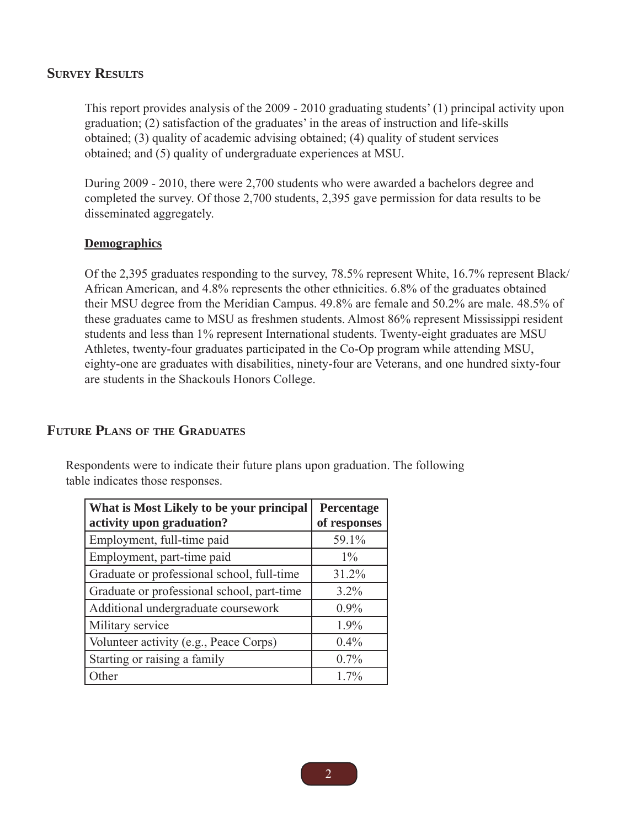#### **SURVEY RESULTS**

This report provides analysis of the 2009 - 2010 graduating students' (1) principal activity upon graduation; (2) satisfaction of the graduates' in the areas of instruction and life-skills obtained; (3) quality of academic advising obtained; (4) quality of student services obtained; and (5) quality of undergraduate experiences at MSU.

During 2009 - 2010, there were 2,700 students who were awarded a bachelors degree and completed the survey. Of those 2,700 students, 2,395 gave permission for data results to be disseminated aggregately.

#### **Demographics**

Of the 2,395 graduates responding to the survey, 78.5% represent White, 16.7% represent Black/ African American, and 4.8% represents the other ethnicities. 6.8% of the graduates obtained their MSU degree from the Meridian Campus. 49.8% are female and 50.2% are male. 48.5% of these graduates came to MSU as freshmen students. Almost 86% represent Mississippi resident students and less than 1% represent International students. Twenty-eight graduates are MSU Athletes, twenty-four graduates participated in the Co-Op program while attending MSU, eighty-one are graduates with disabilities, ninety-four are Veterans, and one hundred sixty-four are students in the Shackouls Honors College.

#### **FUTURE PLANS OF THE GRADUATES**

Respondents were to indicate their future plans upon graduation. The following table indicates those responses.

| What is Most Likely to be your principal<br>activity upon graduation? | Percentage<br>of responses |
|-----------------------------------------------------------------------|----------------------------|
| Employment, full-time paid                                            | 59.1%                      |
| Employment, part-time paid                                            | $1\%$                      |
| Graduate or professional school, full-time                            | 31.2%                      |
| Graduate or professional school, part-time                            | $3.2\%$                    |
| Additional undergraduate coursework                                   | $0.9\%$                    |
| Military service                                                      | 1.9%                       |
| Volunteer activity (e.g., Peace Corps)                                | 0.4%                       |
| Starting or raising a family                                          | 0.7%                       |
| Other                                                                 | $1.7\%$                    |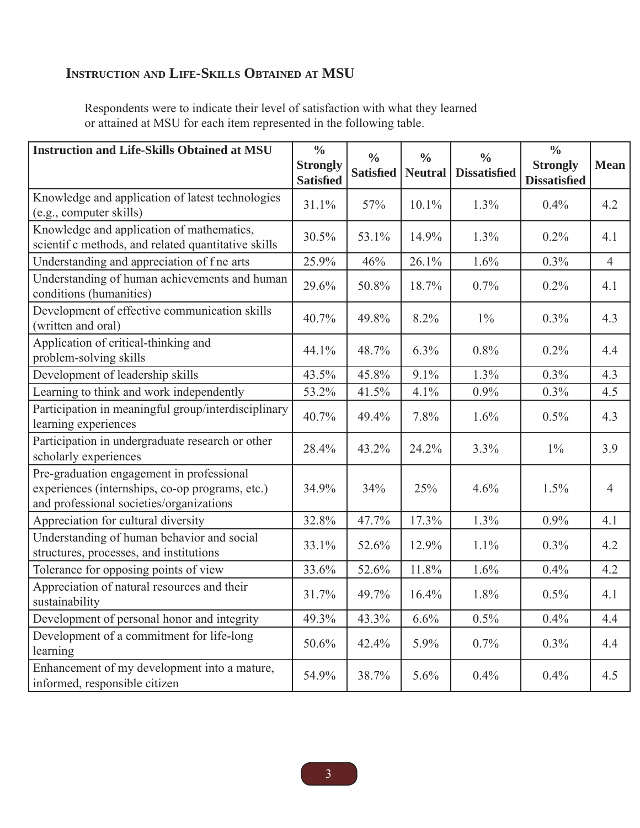## **INSTRUCTION AND LIFE-SKILLS OBTAINED AT MSU**

Respondents were to indicate their level of satisfaction with what they learned or attained at MSU for each item represented in the following table.

| <b>Instruction and Life-Skills Obtained at MSU</b>                                                                                       | $\frac{0}{0}$<br><b>Strongly</b><br><b>Satisfied</b> | $\frac{0}{0}$<br><b>Satisfied</b> | $\frac{0}{0}$<br><b>Neutral</b> | $\frac{0}{0}$<br><b>Dissatisfied</b> | $\frac{0}{0}$<br><b>Strongly</b><br><b>Dissatisfied</b> | <b>Mean</b>    |
|------------------------------------------------------------------------------------------------------------------------------------------|------------------------------------------------------|-----------------------------------|---------------------------------|--------------------------------------|---------------------------------------------------------|----------------|
| Knowledge and application of latest technologies<br>(e.g., computer skills)                                                              | 31.1%                                                | 57%                               | 10.1%                           | 1.3%                                 | 0.4%                                                    | 4.2            |
| Knowledge and application of mathematics,<br>scientif c methods, and related quantitative skills                                         | 30.5%                                                | 53.1%                             | 14.9%                           | 1.3%                                 | 0.2%                                                    | 4.1            |
| Understanding and appreciation of f ne arts                                                                                              | 25.9%                                                | 46%                               | 26.1%                           | 1.6%                                 | 0.3%                                                    | $\overline{4}$ |
| Understanding of human achievements and human<br>conditions (humanities)                                                                 | 29.6%                                                | 50.8%                             | 18.7%                           | 0.7%                                 | 0.2%                                                    | 4.1            |
| Development of effective communication skills<br>(written and oral)                                                                      | 40.7%                                                | 49.8%                             | 8.2%                            | $1\%$                                | 0.3%                                                    | 4.3            |
| Application of critical-thinking and<br>problem-solving skills                                                                           | 44.1%                                                | 48.7%                             | 6.3%                            | 0.8%                                 | 0.2%                                                    | 4.4            |
| Development of leadership skills                                                                                                         | 43.5%                                                | 45.8%                             | 9.1%                            | 1.3%                                 | 0.3%                                                    | 4.3            |
| Learning to think and work independently                                                                                                 | 53.2%                                                | 41.5%                             | 4.1%                            | 0.9%                                 | 0.3%                                                    | 4.5            |
| Participation in meaningful group/interdisciplinary<br>learning experiences                                                              | 40.7%                                                | 49.4%                             | 7.8%                            | 1.6%                                 | $0.5\%$                                                 | 4.3            |
| Participation in undergraduate research or other<br>scholarly experiences                                                                | 28.4%                                                | 43.2%                             | 24.2%                           | 3.3%                                 | $1\%$                                                   | 3.9            |
| Pre-graduation engagement in professional<br>experiences (internships, co-op programs, etc.)<br>and professional societies/organizations | 34.9%                                                | 34%                               | 25%                             | 4.6%                                 | 1.5%                                                    | 4              |
| Appreciation for cultural diversity                                                                                                      | 32.8%                                                | 47.7%                             | 17.3%                           | 1.3%                                 | 0.9%                                                    | 4.1            |
| Understanding of human behavior and social<br>structures, processes, and institutions                                                    | 33.1%                                                | 52.6%                             | 12.9%                           | 1.1%                                 | $0.3\%$                                                 | 4.2            |
| Tolerance for opposing points of view                                                                                                    | 33.6%                                                | 52.6%                             | 11.8%                           | 1.6%                                 | 0.4%                                                    | 4.2            |
| Appreciation of natural resources and their<br>sustainability                                                                            | 31.7%                                                | 49.7%                             | 16.4%                           | 1.8%                                 | 0.5%                                                    | 4.1            |
| Development of personal honor and integrity                                                                                              | 49.3%                                                | 43.3%                             | 6.6%                            | 0.5%                                 | 0.4%                                                    | 4.4            |
| Development of a commitment for life-long<br>learning                                                                                    | 50.6%                                                | 42.4%                             | 5.9%                            | 0.7%                                 | 0.3%                                                    | 4.4            |
| Enhancement of my development into a mature,<br>informed, responsible citizen                                                            | 54.9%                                                | 38.7%                             | 5.6%                            | 0.4%                                 | 0.4%                                                    | 4.5            |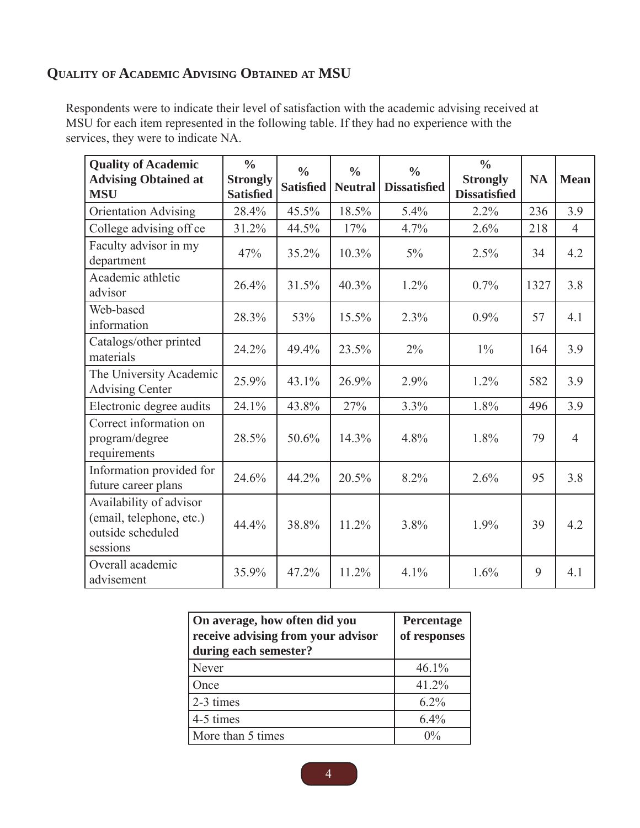## **QUALITY OF ACADEMIC ADVISING OBTAINED AT MSU**

Respondents were to indicate their level of satisfaction with the academic advising received at MSU for each item represented in the following table. If they had no experience with the services, they were to indicate NA.

| <b>Quality of Academic</b><br><b>Advising Obtained at</b><br><b>MSU</b>              | $\frac{0}{0}$<br><b>Strongly</b><br><b>Satisfied</b> | $\frac{0}{0}$<br><b>Satisfied</b> | $\frac{0}{0}$<br><b>Neutral</b> | $\frac{0}{0}$<br><b>Dissatisfied</b> | $\frac{0}{0}$<br><b>Strongly</b><br><b>Dissatisfied</b> | <b>NA</b> | <b>Mean</b>    |
|--------------------------------------------------------------------------------------|------------------------------------------------------|-----------------------------------|---------------------------------|--------------------------------------|---------------------------------------------------------|-----------|----------------|
| <b>Orientation Advising</b>                                                          | 28.4%                                                | 45.5%                             | 18.5%                           | 5.4%                                 | 2.2%                                                    | 236       | 3.9            |
| College advising off ce                                                              | 31.2%                                                | 44.5%                             | 17%                             | 4.7%                                 | 2.6%                                                    | 218       | $\overline{4}$ |
| Faculty advisor in my<br>department                                                  | 47%                                                  | 35.2%                             | 10.3%                           | $5\%$                                | 2.5%                                                    | 34        | 4.2            |
| Academic athletic<br>advisor                                                         | 26.4%                                                | 31.5%                             | 40.3%                           | 1.2%                                 | 0.7%                                                    | 1327      | 3.8            |
| Web-based<br>information                                                             | 28.3%                                                | 53%                               | 15.5%                           | 2.3%                                 | $0.9\%$                                                 | 57        | 4.1            |
| Catalogs/other printed<br>materials                                                  | 24.2%                                                | 49.4%                             | 23.5%                           | $2\%$                                | $1\%$                                                   | 164       | 3.9            |
| The University Academic<br><b>Advising Center</b>                                    | 25.9%                                                | 43.1%                             | 26.9%                           | 2.9%                                 | 1.2%                                                    | 582       | 3.9            |
| Electronic degree audits                                                             | 24.1%                                                | 43.8%                             | 27%                             | 3.3%                                 | 1.8%                                                    | 496       | 3.9            |
| Correct information on<br>program/degree<br>requirements                             | 28.5%                                                | 50.6%                             | 14.3%                           | 4.8%                                 | 1.8%                                                    | 79        | $\overline{4}$ |
| Information provided for<br>future career plans                                      | 24.6%                                                | 44.2%                             | 20.5%                           | 8.2%                                 | 2.6%                                                    | 95        | 3.8            |
| Availability of advisor<br>(email, telephone, etc.)<br>outside scheduled<br>sessions | 44.4%                                                | 38.8%                             | 11.2%                           | 3.8%                                 | 1.9%                                                    | 39        | 4.2            |
| Overall academic<br>advisement                                                       | 35.9%                                                | 47.2%                             | 11.2%                           | 4.1%                                 | 1.6%                                                    | 9         | 4.1            |

| On average, how often did you<br>receive advising from your advisor<br>during each semester? | Percentage<br>of responses |
|----------------------------------------------------------------------------------------------|----------------------------|
| Never                                                                                        | 46.1%                      |
| Once                                                                                         | 41.2%                      |
| 2-3 times                                                                                    | $6.2\%$                    |
| 4-5 times                                                                                    | $6.4\%$                    |
| More than 5 times                                                                            | $0\%$                      |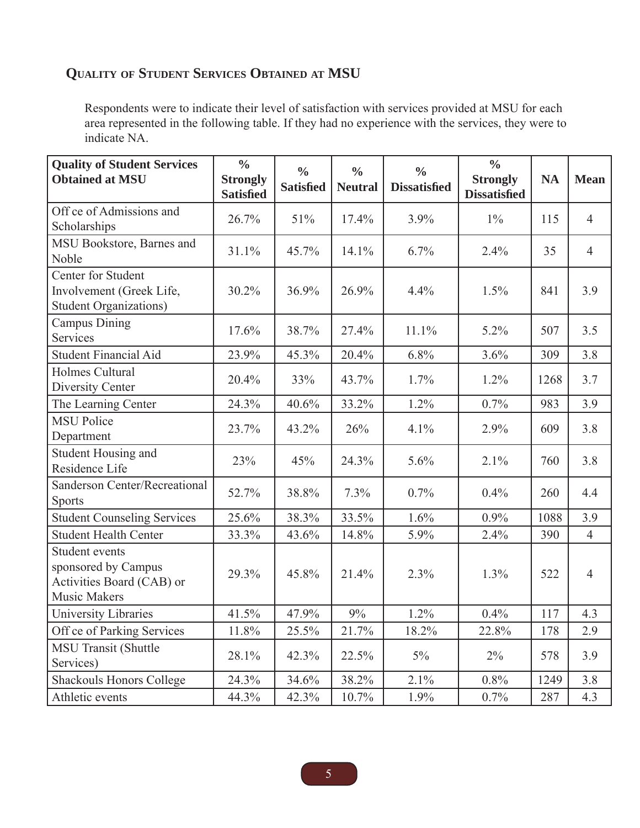## **QUALITY OF STUDENT SERVICES OBTAINED AT MSU**

Respondents were to indicate their level of satisfaction with services provided at MSU for each area represented in the following table. If they had no experience with the services, they were to indicate NA.

| <b>Quality of Student Services</b><br><b>Obtained at MSU</b>                              | $\frac{0}{0}$<br><b>Strongly</b><br><b>Satisfied</b> | $\frac{0}{0}$<br><b>Satisfied</b> | $\frac{0}{0}$<br><b>Neutral</b> | $\frac{0}{0}$<br><b>Dissatisfied</b> | $\frac{0}{0}$<br><b>Strongly</b><br><b>Dissatisfied</b> | <b>NA</b> | <b>Mean</b>    |
|-------------------------------------------------------------------------------------------|------------------------------------------------------|-----------------------------------|---------------------------------|--------------------------------------|---------------------------------------------------------|-----------|----------------|
| Off ce of Admissions and<br>Scholarships                                                  | 26.7%                                                | 51%                               | 17.4%                           | 3.9%                                 | $1\%$                                                   | 115       | $\overline{4}$ |
| MSU Bookstore, Barnes and<br>Noble                                                        | 31.1%                                                | 45.7%                             | 14.1%                           | 6.7%                                 | 2.4%                                                    | 35        | $\overline{4}$ |
| Center for Student<br>Involvement (Greek Life,<br><b>Student Organizations)</b>           | 30.2%                                                | 36.9%                             | 26.9%                           | 4.4%                                 | 1.5%                                                    | 841       | 3.9            |
| <b>Campus Dining</b><br>Services                                                          | 17.6%                                                | 38.7%                             | 27.4%                           | 11.1%                                | 5.2%                                                    | 507       | 3.5            |
| <b>Student Financial Aid</b>                                                              | 23.9%                                                | 45.3%                             | 20.4%                           | 6.8%                                 | 3.6%                                                    | 309       | 3.8            |
| Holmes Cultural<br>Diversity Center                                                       | 20.4%                                                | 33%                               | 43.7%                           | 1.7%                                 | 1.2%                                                    | 1268      | 3.7            |
| The Learning Center                                                                       | 24.3%                                                | 40.6%                             | 33.2%                           | 1.2%                                 | 0.7%                                                    | 983       | 3.9            |
| <b>MSU Police</b><br>Department                                                           | 23.7%                                                | 43.2%                             | 26%                             | 4.1%                                 | 2.9%                                                    | 609       | 3.8            |
| Student Housing and<br>Residence Life                                                     | 23%                                                  | 45%                               | 24.3%                           | 5.6%                                 | 2.1%                                                    | 760       | 3.8            |
| Sanderson Center/Recreational<br><b>Sports</b>                                            | 52.7%                                                | 38.8%                             | 7.3%                            | 0.7%                                 | 0.4%                                                    | 260       | 4.4            |
| <b>Student Counseling Services</b>                                                        | 25.6%                                                | 38.3%                             | 33.5%                           | 1.6%                                 | 0.9%                                                    | 1088      | 3.9            |
| <b>Student Health Center</b>                                                              | 33.3%                                                | 43.6%                             | 14.8%                           | 5.9%                                 | 2.4%                                                    | 390       | $\overline{4}$ |
| Student events<br>sponsored by Campus<br>Activities Board (CAB) or<br><b>Music Makers</b> | 29.3%                                                | 45.8%                             | 21.4%                           | 2.3%                                 | 1.3%                                                    | 522       | $\overline{4}$ |
| University Libraries                                                                      | 41.5%                                                | 47.9%                             | 9%                              | 1.2%                                 | 0.4%                                                    | 117       | 4.3            |
| Off ce of Parking Services                                                                | 11.8%                                                | 25.5%                             | 21.7%                           | 18.2%                                | 22.8%                                                   | 178       | 2.9            |
| MSU Transit (Shuttle<br>Services)                                                         | 28.1%                                                | 42.3%                             | 22.5%                           | $5\%$                                | $2\%$                                                   | 578       | 3.9            |
| <b>Shackouls Honors College</b>                                                           | 24.3%                                                | 34.6%                             | 38.2%                           | 2.1%                                 | 0.8%                                                    | 1249      | 3.8            |
| Athletic events                                                                           | 44.3%                                                | 42.3%                             | 10.7%                           | 1.9%                                 | 0.7%                                                    | 287       | 4.3            |